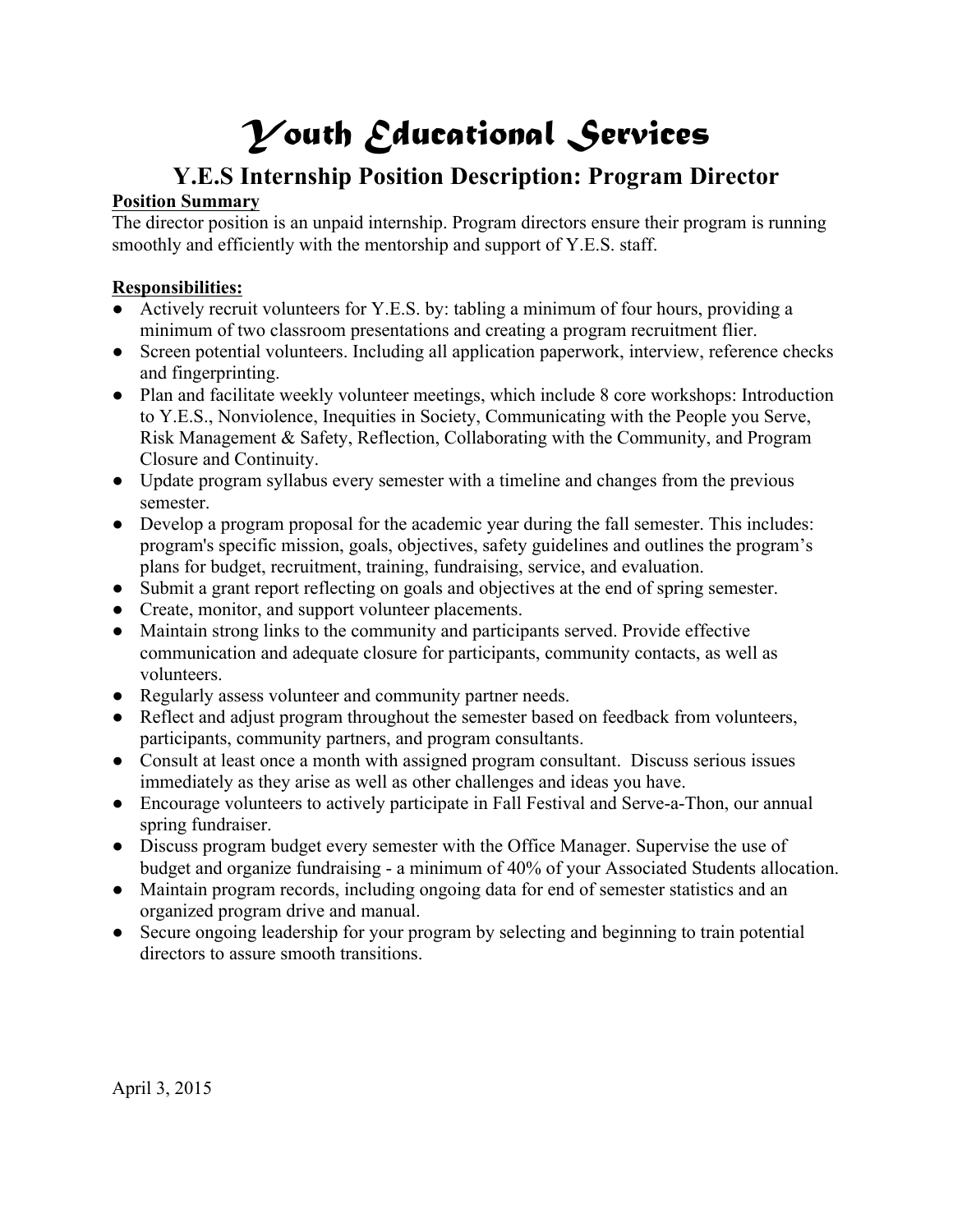# *Youth Educational Services*

# **Y.E.S Internship Position Description: Program Director**

## **Position Summary**

The director position is an unpaid internship. Program directors ensure their program is running smoothly and efficiently with the mentorship and support of Y.E.S. staff.

#### **Responsibilities:**

- Actively recruit volunteers for Y.E.S. by: tabling a minimum of four hours, providing a minimum of two classroom presentations and creating a program recruitment flier.
- Screen potential volunteers. Including all application paperwork, interview, reference checks and fingerprinting.
- Plan and facilitate weekly volunteer meetings, which include 8 core workshops: Introduction to Y.E.S., Nonviolence, Inequities in Society, Communicating with the People you Serve, Risk Management & Safety, Reflection, Collaborating with the Community, and Program Closure and Continuity.
- Update program syllabus every semester with a timeline and changes from the previous semester.
- Develop a program proposal for the academic year during the fall semester. This includes: program's specific mission, goals, objectives, safety guidelines and outlines the program's plans for budget, recruitment, training, fundraising, service, and evaluation.
- Submit a grant report reflecting on goals and objectives at the end of spring semester.
- Create, monitor, and support volunteer placements.
- Maintain strong links to the community and participants served. Provide effective communication and adequate closure for participants, community contacts, as well as volunteers.
- Regularly assess volunteer and community partner needs.
- Reflect and adjust program throughout the semester based on feedback from volunteers, participants, community partners, and program consultants.
- Consult at least once a month with assigned program consultant. Discuss serious issues immediately as they arise as well as other challenges and ideas you have.
- Encourage volunteers to actively participate in Fall Festival and Serve-a-Thon, our annual spring fundraiser.
- Discuss program budget every semester with the Office Manager. Supervise the use of budget and organize fundraising - a minimum of 40% of your Associated Students allocation.
- Maintain program records, including ongoing data for end of semester statistics and an organized program drive and manual.
- Secure ongoing leadership for your program by selecting and beginning to train potential directors to assure smooth transitions.